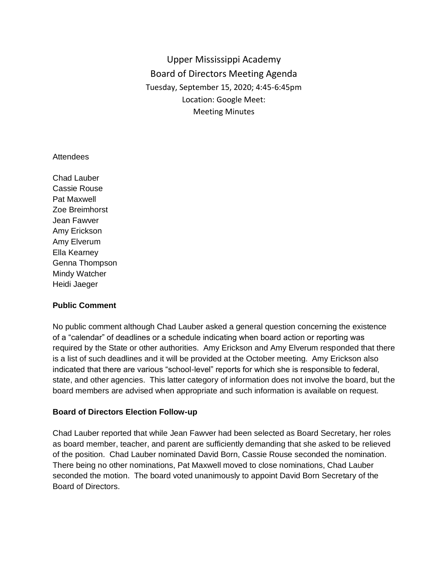Upper Mississippi Academy Board of Directors Meeting Agenda Tuesday, September 15, 2020; 4:45-6:45pm Location: Google Meet: Meeting Minutes

#### **Attendees**

Chad Lauber Cassie Rouse Pat Maxwell Zoe Breimhorst Jean Fawver Amy Erickson Amy Elverum Ella Kearney Genna Thompson Mindy Watcher Heidi Jaeger

#### **Public Comment**

No public comment although Chad Lauber asked a general question concerning the existence of a "calendar" of deadlines or a schedule indicating when board action or reporting was required by the State or other authorities. Amy Erickson and Amy Elverum responded that there is a list of such deadlines and it will be provided at the October meeting. Amy Erickson also indicated that there are various "school-level" reports for which she is responsible to federal, state, and other agencies. This latter category of information does not involve the board, but the board members are advised when appropriate and such information is available on request.

#### **Board of Directors Election Follow-up**

Chad Lauber reported that while Jean Fawver had been selected as Board Secretary, her roles as board member, teacher, and parent are sufficiently demanding that she asked to be relieved of the position. Chad Lauber nominated David Born, Cassie Rouse seconded the nomination. There being no other nominations, Pat Maxwell moved to close nominations, Chad Lauber seconded the motion. The board voted unanimously to appoint David Born Secretary of the Board of Directors.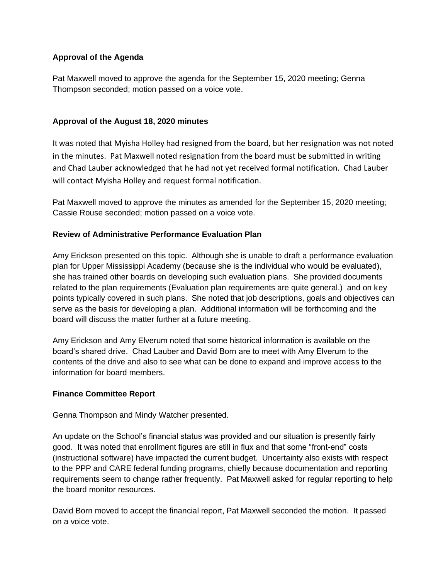# **Approval of the Agenda**

Pat Maxwell moved to approve the agenda for the September 15, 2020 meeting; Genna Thompson seconded; motion passed on a voice vote.

# **Approval of the August 18, 2020 minutes**

It was noted that Myisha Holley had resigned from the board, but her resignation was not noted in the minutes. Pat Maxwell noted resignation from the board must be submitted in writing and Chad Lauber acknowledged that he had not yet received formal notification. Chad Lauber will contact Myisha Holley and request formal notification.

Pat Maxwell moved to approve the minutes as amended for the September 15, 2020 meeting; Cassie Rouse seconded; motion passed on a voice vote.

### **Review of Administrative Performance Evaluation Plan**

Amy Erickson presented on this topic. Although she is unable to draft a performance evaluation plan for Upper Mississippi Academy (because she is the individual who would be evaluated), she has trained other boards on developing such evaluation plans. She provided documents related to the plan requirements (Evaluation plan requirements are quite general.) and on key points typically covered in such plans. She noted that job descriptions, goals and objectives can serve as the basis for developing a plan. Additional information will be forthcoming and the board will discuss the matter further at a future meeting.

Amy Erickson and Amy Elverum noted that some historical information is available on the board's shared drive. Chad Lauber and David Born are to meet with Amy Elverum to the contents of the drive and also to see what can be done to expand and improve access to the information for board members.

### **Finance Committee Report**

Genna Thompson and Mindy Watcher presented.

An update on the School's financial status was provided and our situation is presently fairly good. It was noted that enrollment figures are still in flux and that some "front-end" costs (instructional software) have impacted the current budget. Uncertainty also exists with respect to the PPP and CARE federal funding programs, chiefly because documentation and reporting requirements seem to change rather frequently. Pat Maxwell asked for regular reporting to help the board monitor resources.

David Born moved to accept the financial report, Pat Maxwell seconded the motion. It passed on a voice vote.